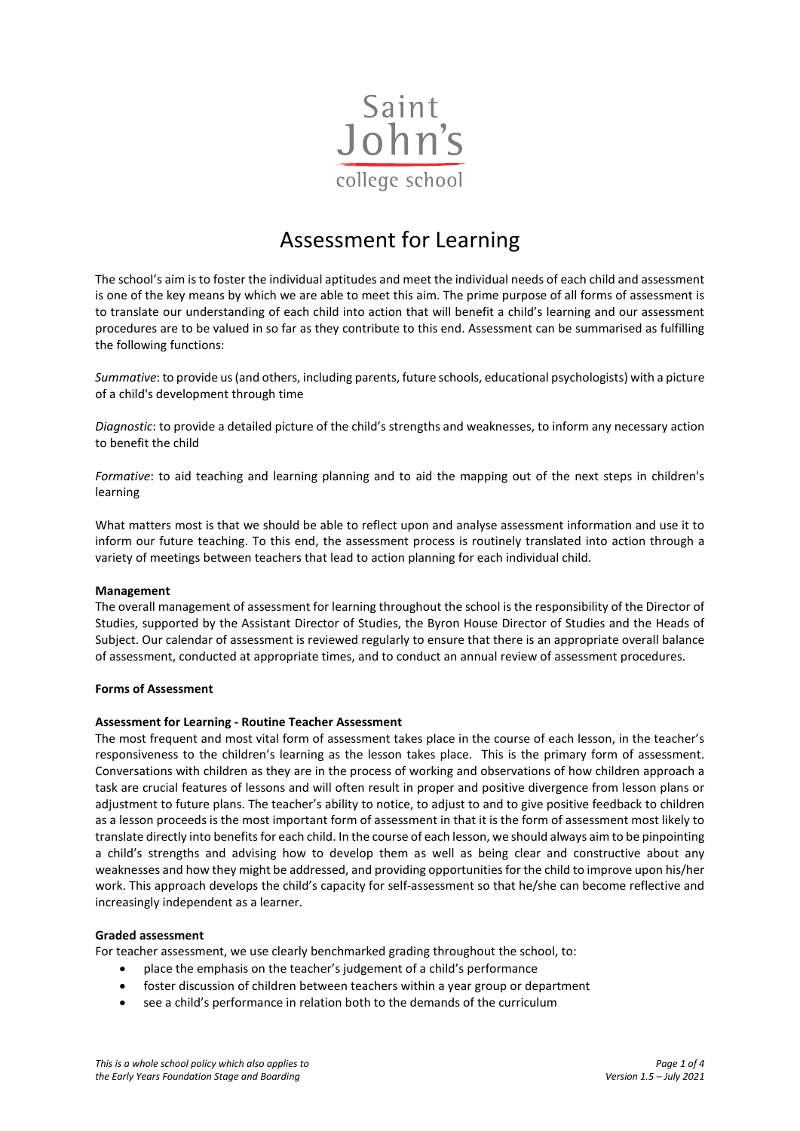

# Assessment for Learning

The school's aim is to foster the individual aptitudes and meet the individual needs of each child and assessment is one of the key means by which we are able to meet this aim. The prime purpose of all forms of assessment is to translate our understanding of each child into action that will benefit a child's learning and our assessment procedures are to be valued in so far as they contribute to this end. Assessment can be summarised as fulfilling the following functions:

*Summative*: to provide us (and others, including parents, future schools, educational psychologists) with a picture of a child's development through time

*Diagnostic*: to provide a detailed picture of the child's strengths and weaknesses, to inform any necessary action to benefit the child

*Formative*: to aid teaching and learning planning and to aid the mapping out of the next steps in children's learning

What matters most is that we should be able to reflect upon and analyse assessment information and use it to inform our future teaching. To this end, the assessment process is routinely translated into action through a variety of meetings between teachers that lead to action planning for each individual child.

#### **Management**

The overall management of assessment for learning throughout the school is the responsibility of the Director of Studies, supported by the Assistant Director of Studies, the Byron House Director of Studies and the Heads of Subject. Our calendar of assessment is reviewed regularly to ensure that there is an appropriate overall balance of assessment, conducted at appropriate times, and to conduct an annual review of assessment procedures.

#### **Forms of Assessment**

#### **Assessment for Learning - Routine Teacher Assessment**

The most frequent and most vital form of assessment takes place in the course of each lesson, in the teacher's responsiveness to the children's learning as the lesson takes place. This is the primary form of assessment. Conversations with children as they are in the process of working and observations of how children approach a task are crucial features of lessons and will often result in proper and positive divergence from lesson plans or adjustment to future plans. The teacher's ability to notice, to adjust to and to give positive feedback to children as a lesson proceeds is the most important form of assessment in that it is the form of assessment most likely to translate directly into benefits for each child. In the course of each lesson, we should always aim to be pinpointing a child's strengths and advising how to develop them as well as being clear and constructive about any weaknesses and how they might be addressed, and providing opportunities for the child to improve upon his/her work. This approach develops the child's capacity for self-assessment so that he/she can become reflective and increasingly independent as a learner.

#### **Graded assessment**

For teacher assessment, we use clearly benchmarked grading throughout the school, to:

- place the emphasis on the teacher's judgement of a child's performance
- foster discussion of children between teachers within a year group or department
- see a child's performance in relation both to the demands of the curriculum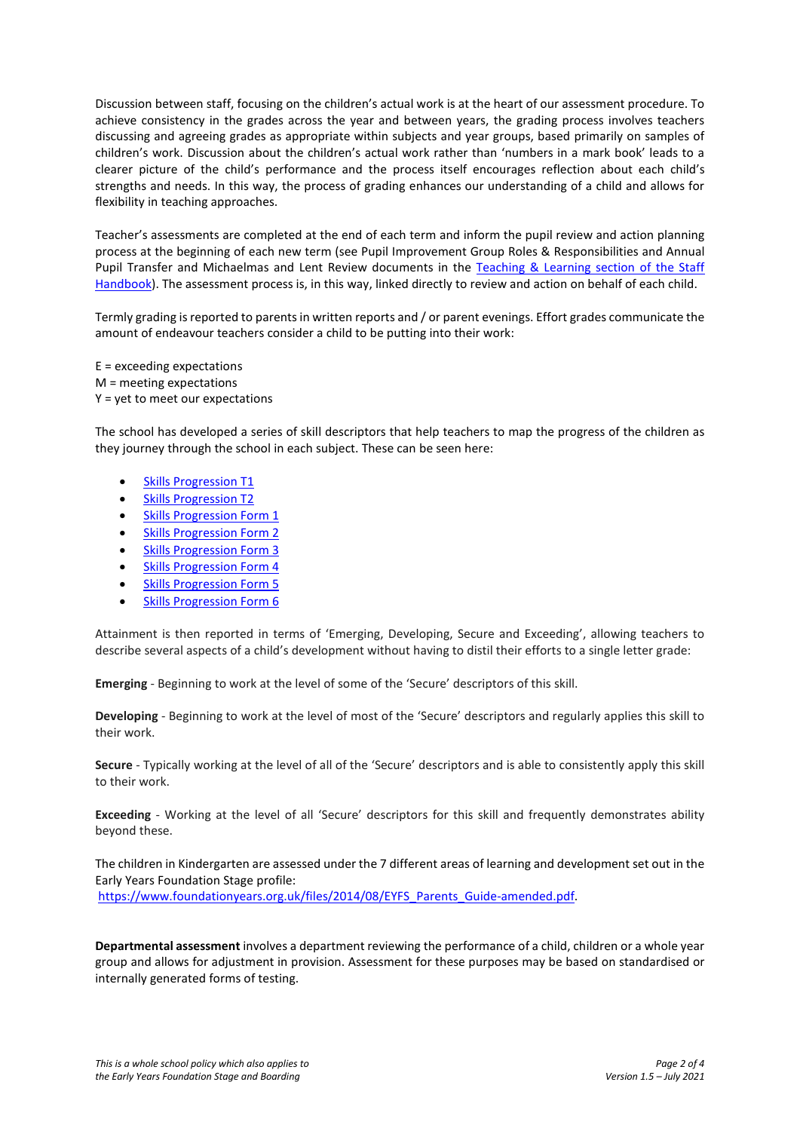Discussion between staff, focusing on the children's actual work is at the heart of our assessment procedure. To achieve consistency in the grades across the year and between years, the grading process involves teachers discussing and agreeing grades as appropriate within subjects and year groups, based primarily on samples of children's work. Discussion about the children's actual work rather than 'numbers in a mark book' leads to a clearer picture of the child's performance and the process itself encourages reflection about each child's strengths and needs. In this way, the process of grading enhances our understanding of a child and allows for flexibility in teaching approaches.

Teacher's assessments are completed at the end of each term and inform the pupil review and action planning process at the beginning of each new term (see Pupil Improvement Group Roles & Responsibilities and Annual Pupil Transfer and Michaelmas and Lent Review documents in the Teaching & [Learning section of the Staff](https://www.sjcs.co.uk/teaching-learning-guidance-staff)  [Handbook\)](https://www.sjcs.co.uk/teaching-learning-guidance-staff). The assessment process is, in this way, linked directly to review and action on behalf of each child.

Termly grading is reported to parents in written reports and / or parent evenings. Effort grades communicate the amount of endeavour teachers consider a child to be putting into their work:

E = exceeding expectations M = meeting expectations Y = yet to meet our expectations

The school has developed a series of skill descriptors that help teachers to map the progress of the children as they journey through the school in each subject. These can be seen here:

- **[Skills Progression T1](https://www.sjcs.co.uk/sites/default/files/styles/Teaching%20&%20Learning/Skills%20Progression/SJCS%20Skills%20Progression%20T1.pdf)**
- [Skills Progression T2](https://www.sjcs.co.uk/sites/default/files/styles/Teaching%20&%20Learning/Skills%20Progression/SJCS%20Skills%20Progression%20T2.pdf)
- **[Skills Progression Form 1](http://www.sjcs.co.uk/sites/default/files/styles/Teaching%20&%20Learning/Skills%20Progression/SJCS%20Skills%20Progression%20Form%201.pdf)**
- [Skills Progression Form 2](http://www.sjcs.co.uk/sites/default/files/styles/Teaching%20&%20Learning/Skills%20Progression/SJCS%20Skills%20Progression%20Form%202.pdf)
- [Skills Progression Form 3](http://www.sjcs.co.uk/sites/default/files/styles/Teaching%20&%20Learning/Skills%20Progression/SJCS%20Skills%20Progression%20Form%203.pdf)
- [Skills Progression Form 4](http://www.sjcs.co.uk/sites/default/files/styles/Teaching%20&%20Learning/Skills%20Progression/SJCS%20Skills%20Progression%20Form%204.pdf)
- [Skills Progression Form 5](http://www.sjcs.co.uk/sites/default/files/styles/Teaching%20&%20Learning/Skills%20Progression/SJCS%20Skills%20Progression%20Form%205.pdf)
- [Skills Progression Form 6](http://www.sjcs.co.uk/sites/default/files/styles/Teaching%20&%20Learning/Skills%20Progression/SJCS%20Skills%20Progression%20Form%206.pdf)

Attainment is then reported in terms of 'Emerging, Developing, Secure and Exceeding', allowing teachers to describe several aspects of a child's development without having to distil their efforts to a single letter grade:

**Emerging** - Beginning to work at the level of some of the 'Secure' descriptors of this skill.

**Developing** - Beginning to work at the level of most of the 'Secure' descriptors and regularly applies this skill to their work.

**Secure** - Typically working at the level of all of the 'Secure' descriptors and is able to consistently apply this skill to their work.

**Exceeding** - Working at the level of all 'Secure' descriptors for this skill and frequently demonstrates ability beyond these.

The children in Kindergarten are assessed under the 7 different areas of learning and development set out in the Early Years Foundation Stage profile:

[https://www.foundationyears.org.uk/files/2014/08/EYFS\\_Parents\\_Guide-amended.pdf.](https://www.foundationyears.org.uk/files/2014/08/EYFS_Parents_Guide-amended.pdf)

**Departmental assessment** involves a department reviewing the performance of a child, children or a whole year group and allows for adjustment in provision. Assessment for these purposes may be based on standardised or internally generated forms of testing.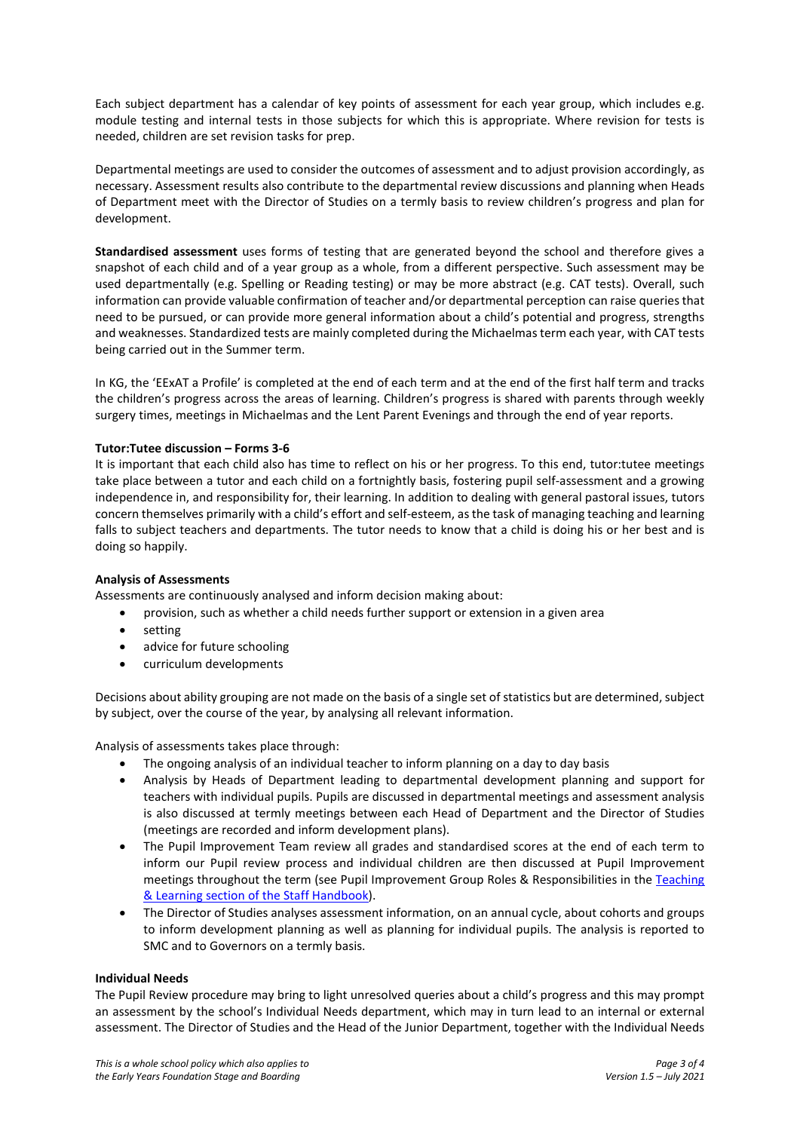Each subject department has a calendar of key points of assessment for each year group, which includes e.g. module testing and internal tests in those subjects for which this is appropriate. Where revision for tests is needed, children are set revision tasks for prep.

Departmental meetings are used to consider the outcomes of assessment and to adjust provision accordingly, as necessary. Assessment results also contribute to the departmental review discussions and planning when Heads of Department meet with the Director of Studies on a termly basis to review children's progress and plan for development.

**Standardised assessment** uses forms of testing that are generated beyond the school and therefore gives a snapshot of each child and of a year group as a whole, from a different perspective. Such assessment may be used departmentally (e.g. Spelling or Reading testing) or may be more abstract (e.g. CAT tests). Overall, such information can provide valuable confirmation of teacher and/or departmental perception can raise queries that need to be pursued, or can provide more general information about a child's potential and progress, strengths and weaknesses. Standardized tests are mainly completed during the Michaelmasterm each year, with CAT tests being carried out in the Summer term.

In KG, the 'EExAT a Profile' is completed at the end of each term and at the end of the first half term and tracks the children's progress across the areas of learning. Children's progress is shared with parents through weekly surgery times, meetings in Michaelmas and the Lent Parent Evenings and through the end of year reports.

### **Tutor:Tutee discussion – Forms 3-6**

It is important that each child also has time to reflect on his or her progress. To this end, tutor:tutee meetings take place between a tutor and each child on a fortnightly basis, fostering pupil self-assessment and a growing independence in, and responsibility for, their learning. In addition to dealing with general pastoral issues, tutors concern themselves primarily with a child's effort and self-esteem, as the task of managing teaching and learning falls to subject teachers and departments. The tutor needs to know that a child is doing his or her best and is doing so happily.

#### **Analysis of Assessments**

Assessments are continuously analysed and inform decision making about:

- provision, such as whether a child needs further support or extension in a given area
- setting
- advice for future schooling
- curriculum developments

Decisions about ability grouping are not made on the basis of a single set of statistics but are determined, subject by subject, over the course of the year, by analysing all relevant information.

Analysis of assessments takes place through:

- The ongoing analysis of an individual teacher to inform planning on a day to day basis
- Analysis by Heads of Department leading to departmental development planning and support for teachers with individual pupils. Pupils are discussed in departmental meetings and assessment analysis is also discussed at termly meetings between each Head of Department and the Director of Studies (meetings are recorded and inform development plans).
- The Pupil Improvement Team review all grades and standardised scores at the end of each term to inform our Pupil review process and individual children are then discussed at Pupil Improvement meetings throughout the term (see Pupil Improvement Group Roles & Responsibilities in the Teaching [& Learning section of the Staff Handbook\)](https://www.sjcs.co.uk/teaching-learning-guidance-staff).
- The Director of Studies analyses assessment information, on an annual cycle, about cohorts and groups to inform development planning as well as planning for individual pupils. The analysis is reported to SMC and to Governors on a termly basis.

#### **Individual Needs**

The Pupil Review procedure may bring to light unresolved queries about a child's progress and this may prompt an assessment by the school's Individual Needs department, which may in turn lead to an internal or external assessment. The Director of Studies and the Head of the Junior Department, together with the Individual Needs